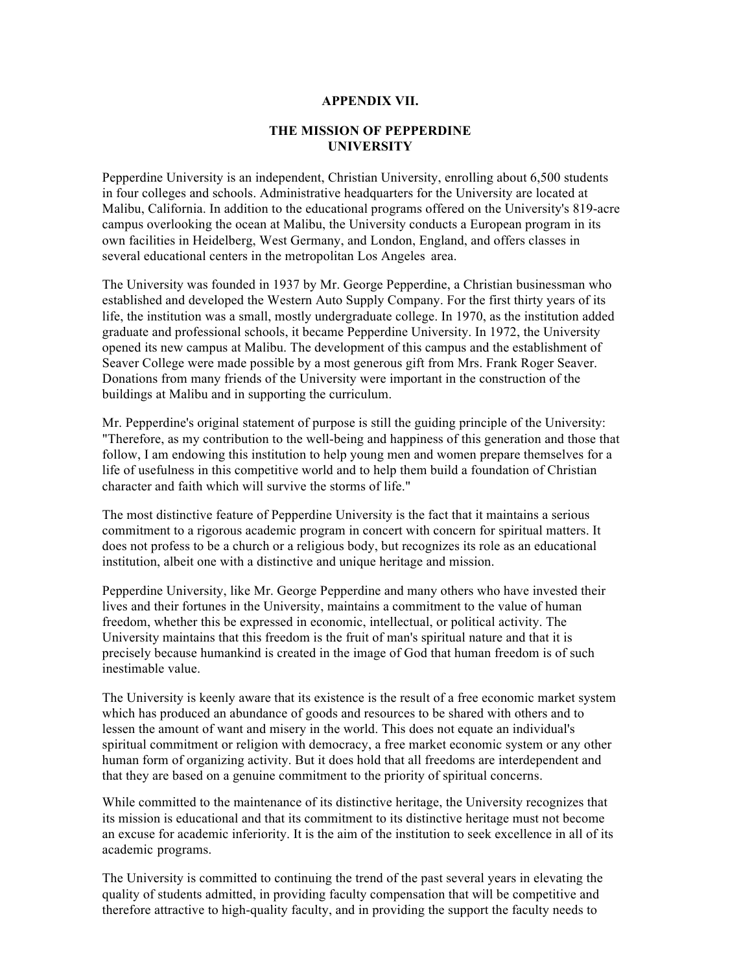## **APPENDIX VII.**

## **THE MISSION OF PEPPERDINE UNIVERSITY**

 Pepperdine University is an independent, Christian University, enrolling about 6,500 students in four colleges and schools. Administrative headquarters for the University are located at Malibu, California. In addition to the educational programs offered on the University's 819-acre campus overlooking the ocean at Malibu, the University conducts a European program in its own facilities in Heidelberg, West Germany, and London, England, and offers classes in several educational centers in the metropolitan Los Angeles area. several educational centers in the metropolitan Los Angeles area.

 The University was founded in 1937 by Mr. George Pepperdine, a Christian businessman who established and developed the Western Auto Supply Company. For the first thirty years of its graduate and professional schools, it became Pepperdine University. In 1972, the University opened its new campus at Malibu. The development of this campus and the establishment of Seaver College were made possible by a most generous gift from Mrs. Frank Roger Seaver. Donations from many friends of the University were important in the construction of the buildings at Malibu and in supporting the curriculum. life, the institution was a small, mostly undergraduate college. In 1970, as the institution added

 Mr. Pepperdine's original statement of purpose is still the guiding principle of the University: "Therefore, as my contribution to the well-being and happiness of this generation and those that follow, I am endowing this institution to help young men and women prepare themselves for a character and faith which will survive the storms of life." life of usefulness in this competitive world and to help them build a foundation of Christian

 The most distinctive feature of Pepperdine University is the fact that it maintains a serious commitment to a rigorous academic program in concert with concern for spiritual matters. It does not profess to be a church or a religious body, but recognizes its role as an educational institution, albeit one with a distinctive and unique heritage and mission.

 Pepperdine University, like Mr. George Pepperdine and many others who have invested their freedom, whether this be expressed in economic, intellectual, or political activity. The University maintains that this freedom is the fruit of man's spiritual nature and that it is precisely because humankind is created in the image of God that human freedom is of such lives and their fortunes in the University, maintains a commitment to the value of human inestimable value.

 The University is keenly aware that its existence is the result of a free economic market system which has produced an abundance of goods and resources to be shared with others and to lessen the amount of want and misery in the world. This does not equate an individual's spiritual commitment or religion with democracy, a free market economic system or any other human form of organizing activity. But it does hold that all freedoms are interdependent and that they are based on a genuine commitment to the priority of spiritual concerns.

 While committed to the maintenance of its distinctive heritage, the University recognizes that an excuse for academic inferiority. It is the aim of the institution to seek excellence in all of its academic programs. its mission is educational and that its commitment to its distinctive heritage must not become

 The University is committed to continuing the trend of the past several years in elevating the quality of students admitted, in providing faculty compensation that will be competitive and therefore attractive to high-quality faculty, and in providing the support the faculty needs to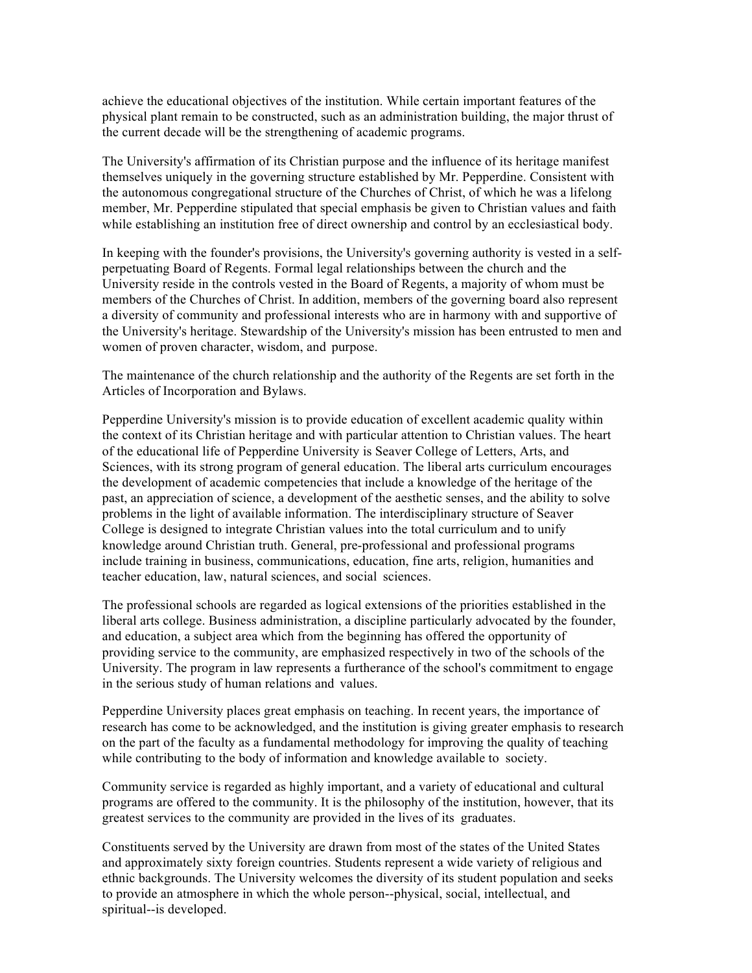achieve the educational objectives of the institution. While certain important features of the physical plant remain to be constructed, such as an administration building, the major thrust of the current decade will be the strengthening of academic programs.

 The University's affirmation of its Christian purpose and the influence of its heritage manifest member, Mr. Pepperdine stipulated that special emphasis be given to Christian values and faith while establishing an institution free of direct ownership and control by an ecclesiastical body. themselves uniquely in the governing structure established by Mr. Pepperdine. Consistent with the autonomous congregational structure of the Churches of Christ, of which he was a lifelong

 In keeping with the founder's provisions, the University's governing authority is vested in a self- perpetuating Board of Regents. Formal legal relationships between the church and the University reside in the controls vested in the Board of Regents, a majority of whom must be members of the Churches of Christ. In addition, members of the governing board also represent a diversity of community and professional interests who are in harmony with and supportive of women of proven character, wisdom, and purpose. the University's heritage. Stewardship of the University's mission has been entrusted to men and

 The maintenance of the church relationship and the authority of the Regents are set forth in the Articles of Incorporation and Bylaws.

 Pepperdine University's mission is to provide education of excellent academic quality within of the educational life of Pepperdine University is Seaver College of Letters, Arts, and Sciences, with its strong program of general education. The liberal arts curriculum encourages the development of academic competencies that include a knowledge of the heritage of the past, an appreciation of science, a development of the aesthetic senses, and the ability to solve problems in the light of available information. The interdisciplinary structure of Seaver College is designed to integrate Christian values into the total curriculum and to unify knowledge around Christian truth. General, pre-professional and professional programs teacher education, law, natural sciences, and social sciences. the context of its Christian heritage and with particular attention to Christian values. The heart include training in business, communications, education, fine arts, religion, humanities and

 The professional schools are regarded as logical extensions of the priorities established in the and education, a subject area which from the beginning has offered the opportunity of providing service to the community, are emphasized respectively in two of the schools of the University. The program in law represents a furtherance of the school's commitment to engage in the serious study of human relations and values. liberal arts college. Business administration, a discipline particularly advocated by the founder,

 Pepperdine University places great emphasis on teaching. In recent years, the importance of research has come to be acknowledged, and the institution is giving greater emphasis to research on the part of the faculty as a fundamental methodology for improving the quality of teaching while contributing to the body of information and knowledge available to society.

 Community service is regarded as highly important, and a variety of educational and cultural programs are offered to the community. It is the philosophy of the institution, however, that its greatest services to the community are provided in the lives of its graduates.

 Constituents served by the University are drawn from most of the states of the United States and approximately sixty foreign countries. Students represent a wide variety of religious and ethnic backgrounds. The University welcomes the diversity of its student population and seeks to provide an atmosphere in which the whole person--physical, social, intellectual, and spiritual--is developed.